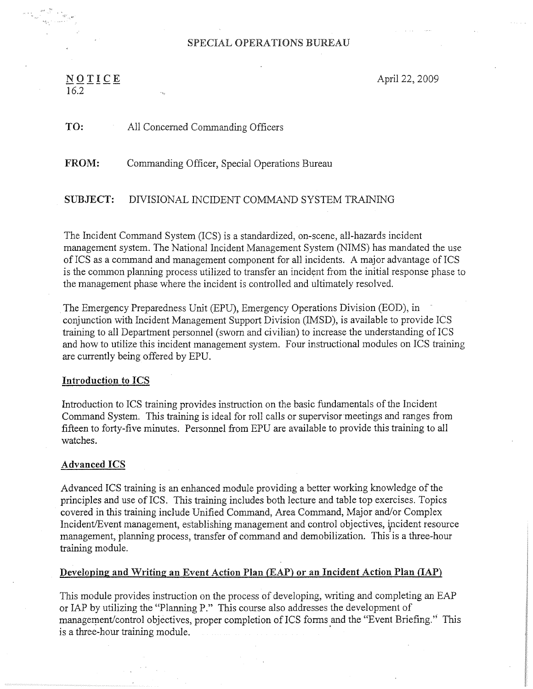## SPECIAL OPERATIONS BUREAU

# $\underline{\mathbf{N}} \underline{\mathbf{O}} \underline{\mathbf{T}} \underline{\mathbf{I}} \underline{\mathbf{C}} \underline{\mathbf{E}}$  April 22, 2009  $\frac{1}{16.2}$  = ---

TO: All Concerned Commanding Officers

FROM: Commanding Officer, Special Operations Bureau

SUBJECT: DIVISIONAL INCIDENT COMMAND SYSTEM TRAINING

The Incident Command System (ICS) is a standardized, on-scene, all-hazards incident management system. The National Incident Management System (NIMS) has mandated the use of ICS as a command and management component for all incidents. A major advantage of ICS is the common planning process utilized to transfer an incident from the initial response phase to the management phase where the incident is controlled and ultimately resolved.

The Emergency Preparedness Unit (EPU), Emergency Operations Division (EOD), in conjunction with Incident Management Support Division (IMSD), is available to provide ICS training to all Department personnel (sworn and civilian) to increase the understanding of ICS and how to utilize this incident management system. Four instructional modules on ICS training are currently being offered by EPU.

#### Introduction to ICS

Introduction to ICS training provides instruction on the basic fundamentals of the Incident Command System. This training is ideal for roll calls or supervisor meetings and ranges from fifteen to forty-five minutes. Personnel from EPU are available to provide this training to all watches.

#### Advanced ICS

Advanced ICS training is an enhanced module providing a better working knowledge of the principles and use of ICS. This training includes both lecture and table top exercises. Topics covered in this training include Unified Command, Area Command, Major and/or Complex Incident/Event management, establishing management and control objectives, incident resource management, planning process, transfer of command and demobilization. This is a three-hour training module.

### Developing and Writing an Event Action Plan (EAP) or an Incident Action Plan (IAP)

This module provides instruction on the process of developing, writing and completing an EAF or IAP by utilizing the "Planning P." This course also addresses the development of management/control objectives, proper completion of ICS forms and the "Event Briefing." This is a three-hour training module.